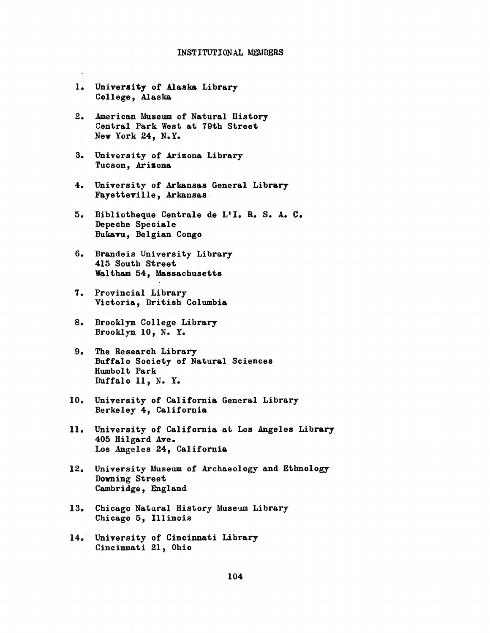- l. University of Alaska Library College, Alaska
- 2. American MIuseum of Natural History Central Park West at 79th Street New York 24, N.Yo
- 3. University of Arizona Library Tucson, Arizona
- 4. University of Arkansas General Library Fayetteville, Arkansas
- 5. Bibliotheque Centrale de L'I. R. S. A. C. Depeche Speciale Bukavu, Belgian Congo
- 6. Brandeis University Library 415 South Street Waltham 54, Massachusetts
- 7. Provincial Library Victoria, British Columbia
- 8. Brooklyn College Library Brooklyn 10, N. Y.
- 9. The Research Library Buffalo Society of Natural Sciences Humbolt Park Buffalo 11, N. Y.
- 10. University of California General Library Berkeley 4, California
- 11. University of California at Los Angeles Library 405 Hilgard Ave. Los Angeles 24, California
- 12. University Museum of Archaeology and Ethnology Downing Street Cambridge, England
- 13. Chicago Natural History Museum Library Chicago 5, Illinois
- 14, University of Cincinnati Library Cincinati 21, Ohio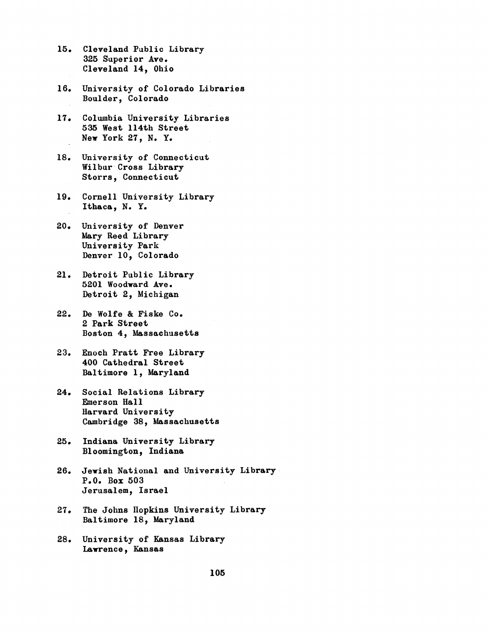- 15. Cleveland Public Library 325 Superior Ave. Cleveland 14, Ohio
- 16. University of Colorado Libraries Boulder, Colorado
- 17. Columbia University Libraries 535 West 114th Street New York 27, N. Y.
- 18. University of Connecticut Wilbur Cross Library Storrs, Connecticut
- 19. Cornell University Library Ithaca, N. Y.
- 20. University of Denver Mary Reed Library University Park Denver 10, Colorado
- 21. Detroit Public Library 5201 Woodward Ave. Detroit 2, Michigan
- 22. De Wolfe & Fiske Co. 2 Park Street Boston 4, Massachusetts
- 23. Enoch Pratt Free Library 400 Cathedral Street Baltimore 1, Maryland
- 24. Social Relations Library Emerson Hall Harvard University Cambridge 38, Massachusetts
- 25. Indiana University Library Bloomington, Indiana
- 26. Jewish National and University Library P.O. Box 503 Jerusalem, Israel
- 27. The Johns Hopkins University Library Baltimore 18, Maryland
- 28. University of Kansas Library Lawrence, Kansas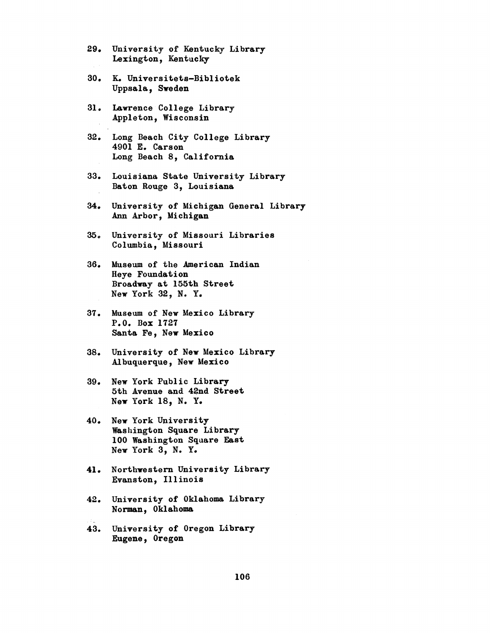- 29. University of Kentucky Library Lexington, Kentucky
- 30. K. Universitets-Bibliotek Uppsala, Sweden
- 31. Lawrence College Library Appleton, Wisconsin
- 32. Long Beach City College Library 4901 E. Carson Long Beach 8, California
- 33. Louisiana State University Library Baton Rouge 3, Louisiana
- 34. University of Michigan General Library Ann Arbor, Michigan
- 35. University of Missouri Libraries Columbia, Missouri
- 36. Museum of the American Indian Heye Foundation Broadway at 155th Street New York 32, N. Y.
- 37. Museum of New Mexico Library P.O. Box 1727 Santa Fe, New Mexico
- 38. University of New Mexico Library Albuquerque, New Mexico
- 39. New York Public Library 5th Avenue and 42nd Street New York 18, N. Y.
- 40. New York University Washington Square Library 100 Washington Square East New York 3, N. Y.
- 41. Northwestern University Library Evanston, Illinois
- 42. University of Oklahoma Library Norman, Oklahoma
- 43. University of Oregon Library Eugene,^ Oregon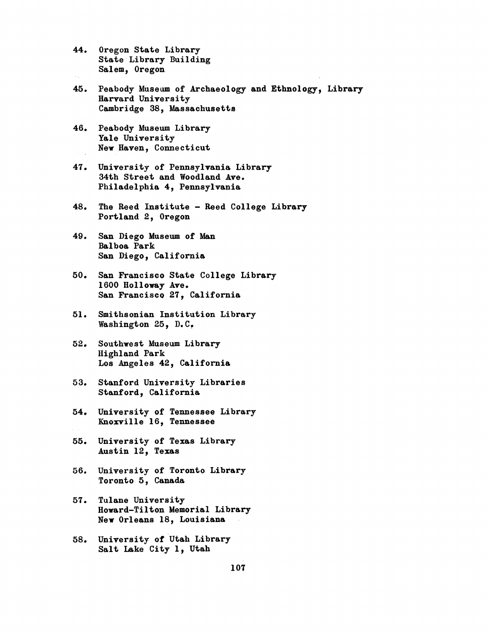- 44. Oregon State Library State Library Building Salem, Oregon
- 45. Peabody Museum of Archaeology and Ethnology, Library Harvard University Cambridge 38, Massachusetts
- 46. Peabody Museum Library Yale University New Haven, Connecticut
- 47. University of Pennsylvania Library 34th Street and Woodland Ave. Philadelphia 4, Pennsylvania
- 48. The Reed Institute Reed College Library Portland 2, Oregon
- 49. San Diego Museum of Man Balboa Park San Diego, California
- 50. San Francisco State College Library 1600 Holloway Ave. San Francisco 27, California
- 51. Smithsonian Institution Library Washington 25, D.C.
- 52. Southwest Museum Library Highland Park Los Angeles 42, California
- 53. Stanford University Libraries Stanford, California
- 54. University of Tennessee Library Knoxville 16, Tennessee
- 55. University of Texas Library Austin 12, Texas
- 56. University of Toronto Library Toronto 5, Canada
- 57. Tulane University Howard-Tilton Memorial Library New Orleans 18, Louisiana
- 58. University Of Utah Library Salt Lake City 1, Utah